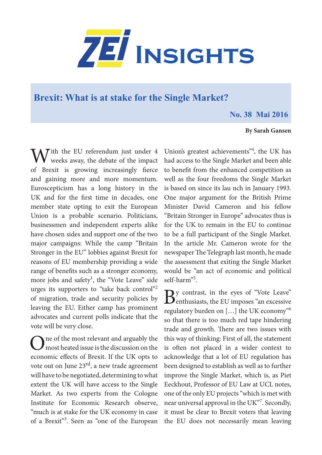

## **Brexit: What is at stake for the Single Market?**

## **No. 38 Mai 2016**

## **By Sarah Gansen**

 $\bigvee$  ith the EU referendum just under 4 weeks away, the debate of the impact of Brexit is growing increasingly fierce and gaining more and more momentum. Euroscepticism has a long history in the UK and for the first time in decades, one member state opting to exit the European Union is a probable scenario. Politicians, businessmen and independent experts alike have chosen sides and support one of the two major campaigns: While the camp "Britain Stronger in the EU" lobbies against Brexit for reasons of EU membership providing a wide range of benefits such as a stronger economy, more jobs and safety<sup>1</sup>, the "Vote Leave" side urges its supporters to "take back control"2 of migration, trade and security policies by leaving the EU. Either camp has prominent advocates and current polls indicate that the vote will be very close.

 $\sum$ ne of the most relevant and arguably the most heated issue is the discussion on the economic effects of Brexit. If the UK opts to vote out on June 23<sup>rd</sup>, a new trade agreement will have to be negotiated, determining to what extent the UK will have access to the Single Market. As two experts from the Cologne Institute for Economic Research observe, "much is at stake for the UK economy in case of a Brexit"<sup>3</sup>. Seen as "one of the European Union's greatest achievements"<sup>4</sup>, the UK has had access to the Single Market and been able to benefit from the enhanced competition as well as the four freedoms the Single Market is based on since its lau nch in January 1993. One major argument for the British Prime Minister David Cameron and his fellow "Britain Stronger in Europe" advocates thus is for the UK to remain in the EU to continue to be a full participant of the Single Market. In the article Mr. Cameron wrote for the newspaper The Telegraph last month, he made the assessment that exiting the Single Market would be "an act of economic and political self-harm"5 .

 $B^{\text{y} \text{ contrast, in the eyes of "Vote Leave"}}$ regulatory burden on […] the UK economy"6 so that there is too much red tape hindering trade and growth. There are two issues with this way of thinking: First of all, the statement is often not placed in a wider context to acknowledge that a lot of EU regulation has been designed to establish as well as to further improve the Single Market, which is, as Piet Eeckhout, Professor of EU Law at UCL notes, one of the only EU projects "which is met with near universal approval in the UK"<sup>7</sup>. Secondly, it must be clear to Brexit voters that leaving the EU does not necessarily mean leaving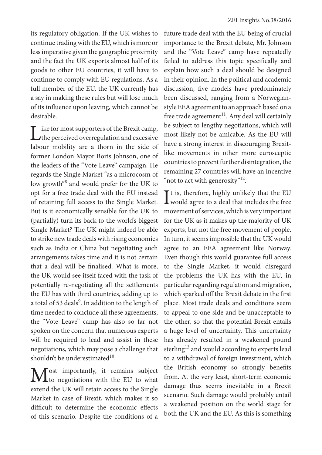its regulatory obligation. If the UK wishes to continue trading with the EU, which is more or less imperative given the geographic proximity and the fact the UK exports almost half of its goods to other EU countries, it will have to continue to comply with EU regulations. As a full member of the EU, the UK currently has a say in making these rules but will lose much of its influence upon leaving, which cannot be desirable.

Like for most supporters of the Brexit camp,<br>the perceived overregulation and excessive labour mobility are a thorn in the side of former London Mayor Boris Johnson, one of the leaders of the "Vote Leave" campaign. He regards the Single Market "as a microcosm of low growth<sup>38</sup> and would prefer for the UK to opt for a free trade deal with the EU instead of retaining full access to the Single Market. But is it economically sensible for the UK to (partially) turn its back to the world's biggest Single Market? The UK might indeed be able to strike new trade deals with rising economies such as India or China but negotiating such arrangements takes time and it is not certain that a deal will be finalised. What is more, the UK would see itself faced with the task of potentially re-negotiating all the settlements the EU has with third countries, adding up to a total of 53 deals<sup>9</sup>. In addition to the length of time needed to conclude all these agreements, the "Vote Leave" camp has also so far not spoken on the concern that numerous experts will be required to lead and assist in these negotiations, which may pose a challenge that shouldn't be underestimated $10$ .

Most importantly, it remains subject<br>to negotiations with the EU to what extend the UK will retain access to the Single Market in case of Brexit, which makes it so difficult to determine the economic effects of this scenario. Despite the conditions of a

future trade deal with the EU being of crucial importance to the Brexit debate, Mr. Johnson and the "Vote Leave" camp have repeatedly failed to address this topic specifically and explain how such a deal should be designed in their opinion. In the political and academic discussion, five models have predominately been discussed, ranging from a Norwegianstyle EEA agreement to an approach based on a free trade agreement<sup>11</sup>. Any deal will certainly be subject to lengthy negotiations, which will most likely not be amicable. As the EU will have a strong interest in discouraging Brexitlike movements in other more eurosceptic countries to prevent further disintegration, the remaining 27 countries will have an incentive "not to act with generosity"<sup>12</sup>.

 $\int$ <sup>t</sup> is, therefore, highly unlikely that the EU would agree to a deal that includes the free  $\mathbf{T}$ t is, therefore, highly unlikely that the EU movement of services, which is very important for the UK as it makes up the majority of UK exports, but not the free movement of people. In turn, it seems impossible that the UK would agree to an EEA agreement like Norway. Even though this would guarantee full access to the Single Market, it would disregard the problems the UK has with the EU, in particular regarding regulation and migration, which sparked off the Brexit debate in the first place. Most trade deals and conditions seem to appeal to one side and be unacceptable to the other, so that the potential Brexit entails a huge level of uncertainty. This uncertainty has already resulted in a weakened pound sterling<sup>13</sup> and would according to experts lead to a withdrawal of foreign investment, which the British economy so strongly benefits from. At the very least, short-term economic damage thus seems inevitable in a Brexit scenario. Such damage would probably entail a weakened position on the world stage for both the UK and the EU. As this is something